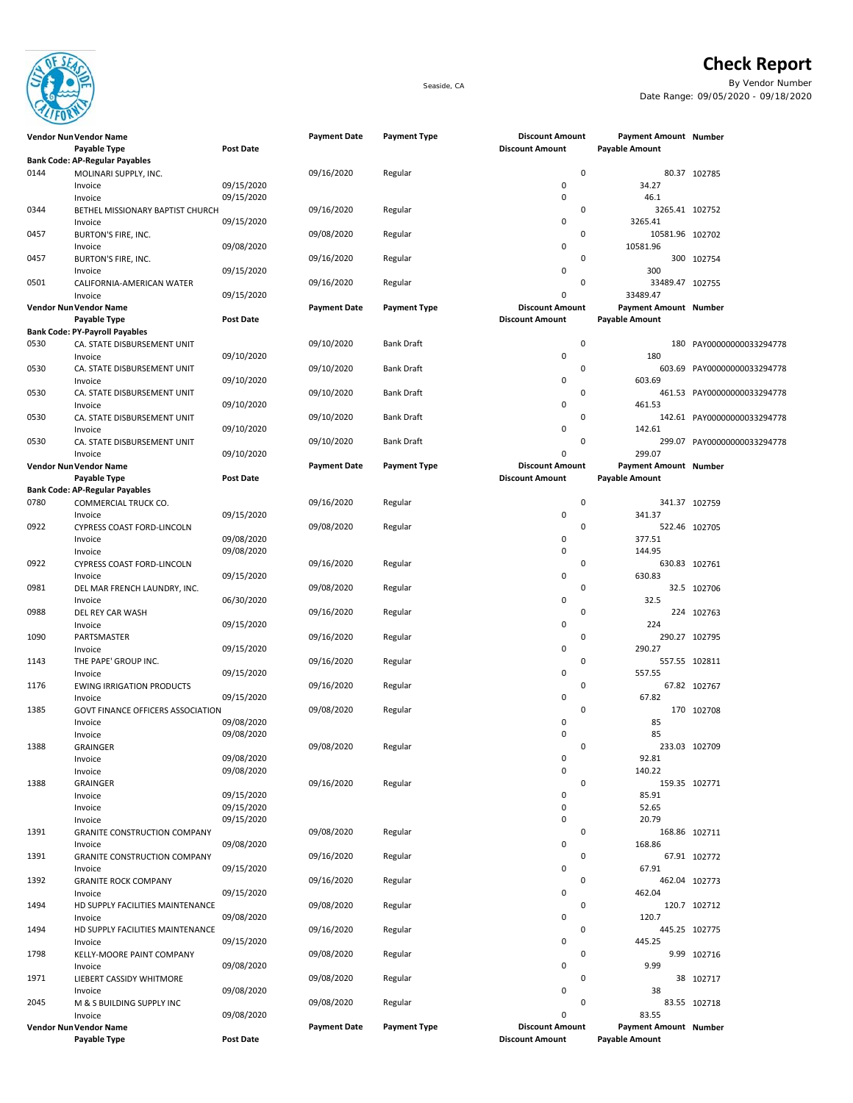

## **Check Report**

Seaside, CA By Vendor Number Date Range: 09/05/2020 - 09/18/2020

|      | Vendor Nun Vendor Name                  |                          | <b>Payment Date</b> | <b>Payment Type</b> | <b>Discount Amount</b>                           | <b>Payment Amount Number</b>            |                             |
|------|-----------------------------------------|--------------------------|---------------------|---------------------|--------------------------------------------------|-----------------------------------------|-----------------------------|
|      | Payable Type                            | <b>Post Date</b>         |                     |                     | <b>Discount Amount</b>                           | Payable Amount                          |                             |
|      | <b>Bank Code: AP-Regular Payables</b>   |                          |                     |                     | $\mathbf 0$                                      |                                         |                             |
| 0144 | MOLINARI SUPPLY, INC.                   | 09/15/2020               | 09/16/2020          | Regular             | $\mathbf 0$                                      | 34.27                                   | 80.37 102785                |
|      | Invoice<br>Invoice                      | 09/15/2020               |                     |                     | $\mathbf 0$                                      | 46.1                                    |                             |
| 0344 | BETHEL MISSIONARY BAPTIST CHURCH        |                          | 09/16/2020          | Regular             | 0                                                | 3265.41 102752                          |                             |
|      | Invoice                                 | 09/15/2020               |                     |                     | $\mathbf 0$                                      | 3265.41                                 |                             |
| 0457 | BURTON'S FIRE, INC.                     |                          | 09/08/2020          | Regular             | $\mathbf 0$                                      | 10581.96 102702                         |                             |
|      | Invoice                                 | 09/08/2020               |                     |                     | 0                                                | 10581.96                                |                             |
| 0457 | BURTON'S FIRE, INC.                     |                          | 09/16/2020          | Regular             | 0                                                |                                         | 300 102754                  |
|      | Invoice                                 | 09/15/2020               |                     |                     | $\mathbf 0$                                      | 300                                     |                             |
| 0501 | CALIFORNIA-AMERICAN WATER               |                          | 09/16/2020          | Regular             | 0                                                | 33489.47 102755                         |                             |
|      | Invoice                                 | 09/15/2020               |                     |                     | 0                                                | 33489.47                                |                             |
|      | Vendor Nun Vendor Name<br>Payable Type  | <b>Post Date</b>         | <b>Payment Date</b> | <b>Payment Type</b> | <b>Discount Amount</b><br><b>Discount Amount</b> | Payment Amount Number<br>Payable Amount |                             |
|      | <b>Bank Code: PY-Payroll Payables</b>   |                          |                     |                     |                                                  |                                         |                             |
| 0530 | CA. STATE DISBURSEMENT UNIT             |                          | 09/10/2020          | Bank Draft          | $\pmb{0}$                                        |                                         | 180 PAY00000000033294778    |
|      | Invoice                                 | 09/10/2020               |                     |                     | $\mathbf 0$                                      | 180                                     |                             |
| 0530 | CA. STATE DISBURSEMENT UNIT             |                          | 09/10/2020          | <b>Bank Draft</b>   | $\mathbf 0$                                      |                                         | 603.69 PAY00000000033294778 |
|      | Invoice                                 | 09/10/2020               |                     |                     | 0                                                | 603.69                                  |                             |
| 0530 | CA. STATE DISBURSEMENT UNIT             |                          | 09/10/2020          | <b>Bank Draft</b>   | $\mathbf 0$                                      |                                         | 461.53 PAY00000000033294778 |
|      | Invoice                                 | 09/10/2020               |                     |                     | 0                                                | 461.53                                  |                             |
| 0530 | CA. STATE DISBURSEMENT UNIT             |                          | 09/10/2020          | Bank Draft          | $\mathbf 0$                                      |                                         | 142.61 PAY00000000033294778 |
| 0530 | Invoice                                 | 09/10/2020               | 09/10/2020          | <b>Bank Draft</b>   | $\mathbf 0$<br>$\mathbf 0$                       | 142.61                                  | 299.07 PAY00000000033294778 |
|      | CA. STATE DISBURSEMENT UNIT<br>Invoice  | 09/10/2020               |                     |                     | 0                                                | 299.07                                  |                             |
|      | Vendor Nun Vendor Name                  |                          | <b>Payment Date</b> | <b>Payment Type</b> | <b>Discount Amount</b>                           | <b>Payment Amount Number</b>            |                             |
|      | Payable Type                            | <b>Post Date</b>         |                     |                     | <b>Discount Amount</b>                           | Payable Amount                          |                             |
|      | <b>Bank Code: AP-Regular Payables</b>   |                          |                     |                     |                                                  |                                         |                             |
| 0780 | COMMERCIAL TRUCK CO.                    |                          | 09/16/2020          | Regular             | $\mathbf 0$                                      |                                         | 341.37 102759               |
|      | Invoice                                 | 09/15/2020               |                     |                     | $\mathbf 0$                                      | 341.37                                  |                             |
| 0922 | CYPRESS COAST FORD-LINCOLN              |                          | 09/08/2020          | Regular             | 0                                                |                                         | 522.46 102705               |
|      | Invoice                                 | 09/08/2020               |                     |                     | 0                                                | 377.51                                  |                             |
|      | Invoice                                 | 09/08/2020               |                     |                     | $\mathbf 0$                                      | 144.95                                  |                             |
| 0922 | CYPRESS COAST FORD-LINCOLN              |                          | 09/16/2020          | Regular             | $\mathbf 0$<br>0                                 | 630.83                                  | 630.83 102761               |
| 0981 | Invoice<br>DEL MAR FRENCH LAUNDRY, INC. | 09/15/2020               | 09/08/2020          | Regular             | $\mathbf 0$                                      |                                         | 32.5 102706                 |
|      | Invoice                                 | 06/30/2020               |                     |                     | 0                                                | 32.5                                    |                             |
| 0988 | DEL REY CAR WASH                        |                          | 09/16/2020          | Regular             | $\mathbf 0$                                      |                                         | 224 102763                  |
|      | Invoice                                 | 09/15/2020               |                     |                     | 0                                                | 224                                     |                             |
| 1090 | PARTSMASTER                             |                          | 09/16/2020          | Regular             | $\mathbf 0$                                      |                                         | 290.27 102795               |
|      | Invoice                                 | 09/15/2020               |                     |                     | $\mathbf 0$                                      | 290.27                                  |                             |
| 1143 | THE PAPE' GROUP INC.                    |                          | 09/16/2020          | Regular             | 0                                                |                                         | 557.55 102811               |
|      | Invoice                                 | 09/15/2020               |                     |                     | $\mathbf 0$                                      | 557.55                                  |                             |
| 1176 | <b>EWING IRRIGATION PRODUCTS</b>        |                          | 09/16/2020          | Regular             | $\mathbf 0$                                      |                                         | 67.82 102767                |
|      | Invoice                                 | 09/15/2020               |                     |                     | 0                                                | 67.82                                   |                             |
| 1385 | GOVT FINANCE OFFICERS ASSOCIATION       |                          | 09/08/2020          | Regular             | $\mathbf 0$                                      |                                         | 170 102708                  |
|      | Invoice                                 | 09/08/2020<br>09/08/2020 |                     |                     | 0<br>$\mathbf 0$                                 | 85<br>85                                |                             |
| 1388 | Invoice<br><b>GRAINGER</b>              |                          | 09/08/2020          | Regular             | $\mathbf 0$                                      |                                         | 233.03 102709               |
|      | Invoice                                 | 09/08/2020               |                     |                     | $\pmb{0}$                                        | 92.81                                   |                             |
|      | Invoice                                 | 09/08/2020               |                     |                     | $\mathbf 0$                                      | 140.22                                  |                             |
| 1388 | GRAINGER                                |                          | 09/16/2020          | Regular             | $\mathbf 0$                                      |                                         | 159.35 102771               |
|      | Invoice                                 | 09/15/2020               |                     |                     | 0                                                | 85.91                                   |                             |
|      | Invoice                                 | 09/15/2020               |                     |                     | 0                                                | 52.65                                   |                             |
|      | Invoice                                 | 09/15/2020               |                     |                     | 0                                                | 20.79                                   |                             |
| 1391 | <b>GRANITE CONSTRUCTION COMPANY</b>     |                          | 09/08/2020          | Regular             | 0                                                |                                         | 168.86 102711               |
|      | Invoice                                 | 09/08/2020               |                     |                     | 0                                                | 168.86                                  |                             |
| 1391 | <b>GRANITE CONSTRUCTION COMPANY</b>     | 09/15/2020               | 09/16/2020          | Regular             | $\mathbf 0$<br>0                                 | 67.91                                   | 67.91 102772                |
| 1392 | Invoice<br><b>GRANITE ROCK COMPANY</b>  |                          | 09/16/2020          | Regular             | $\mathbf 0$                                      |                                         | 462.04 102773               |
|      | Invoice                                 | 09/15/2020               |                     |                     | 0                                                | 462.04                                  |                             |
| 1494 | HD SUPPLY FACILITIES MAINTENANCE        |                          | 09/08/2020          | Regular             | 0                                                |                                         | 120.7 102712                |
|      | Invoice                                 | 09/08/2020               |                     |                     | 0                                                | 120.7                                   |                             |
| 1494 | HD SUPPLY FACILITIES MAINTENANCE        |                          | 09/16/2020          | Regular             | $\mathbf 0$                                      |                                         | 445.25 102775               |
|      | Invoice                                 | 09/15/2020               |                     |                     | 0                                                | 445.25                                  |                             |
| 1798 | KELLY-MOORE PAINT COMPANY               |                          | 09/08/2020          | Regular             | 0                                                |                                         | 9.99 102716                 |
|      | Invoice                                 | 09/08/2020               |                     |                     | 0                                                | 9.99                                    |                             |
| 1971 | LIEBERT CASSIDY WHITMORE                |                          | 09/08/2020          | Regular             | 0                                                |                                         | 38 102717                   |
|      | Invoice                                 | 09/08/2020               |                     |                     | 0                                                | 38                                      |                             |
| 2045 | M & S BUILDING SUPPLY INC<br>Invoice    | 09/08/2020               | 09/08/2020          | Regular             | 0<br>0                                           | 83.55                                   | 83.55 102718                |
|      | Vendor Nun Vendor Name                  |                          | <b>Payment Date</b> | <b>Payment Type</b> | <b>Discount Amount</b>                           | Payment Amount Number                   |                             |
|      | Payable Type                            | <b>Post Date</b>         |                     |                     | <b>Discount Amount</b>                           | Payable Amount                          |                             |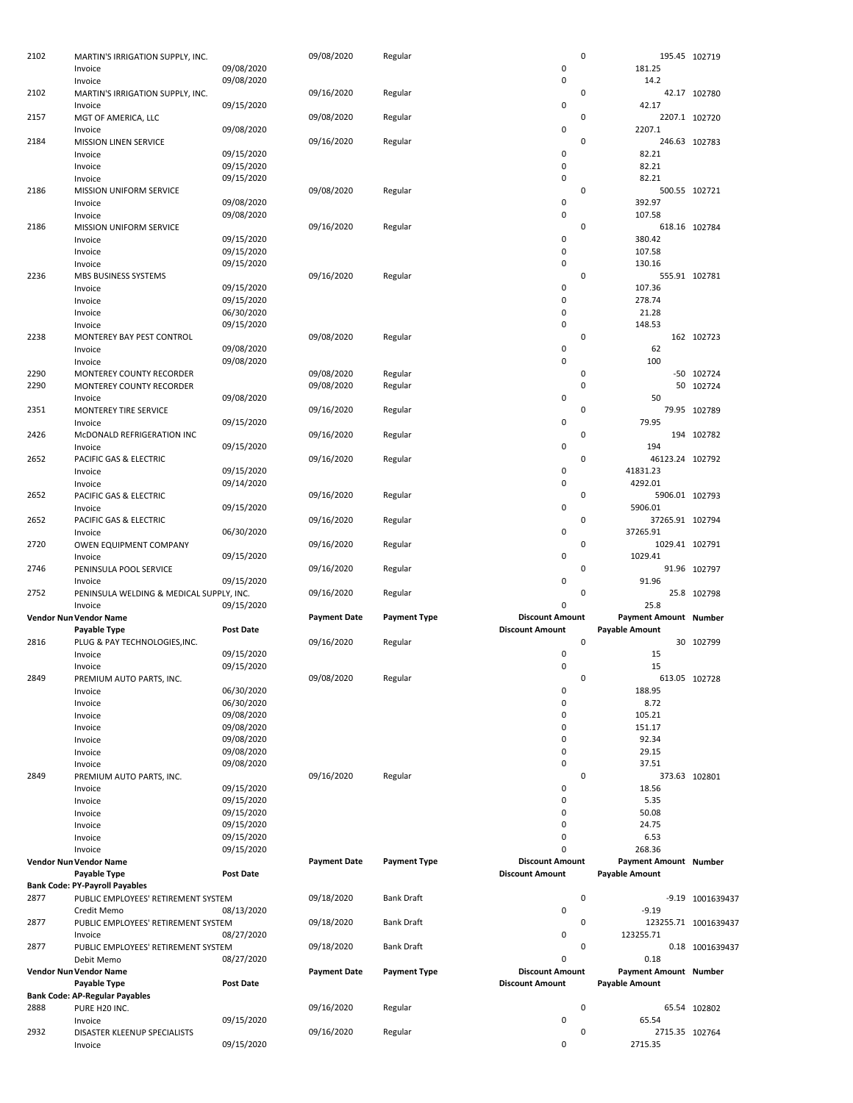| 2102 | MARTIN'S IRRIGATION SUPPLY, INC.         |                          | 09/08/2020          | Regular             |                        | 0         | 195.45 102719           |                      |
|------|------------------------------------------|--------------------------|---------------------|---------------------|------------------------|-----------|-------------------------|----------------------|
|      | Invoice                                  | 09/08/2020               |                     |                     | $\pmb{0}$              |           | 181.25                  |                      |
|      | Invoice                                  | 09/08/2020               |                     |                     | 0                      |           | 14.2                    |                      |
| 2102 | MARTIN'S IRRIGATION SUPPLY, INC.         |                          | 09/16/2020          | Regular             |                        | 0         |                         | 42.17 102780         |
|      | Invoice                                  | 09/15/2020               |                     |                     | 0                      |           | 42.17                   |                      |
| 2157 | MGT OF AMERICA, LLC                      |                          | 09/08/2020          | Regular             |                        | 0         |                         | 2207.1 102720        |
|      | Invoice                                  | 09/08/2020               |                     |                     | 0                      |           | 2207.1                  |                      |
| 2184 | <b>MISSION LINEN SERVICE</b>             |                          | 09/16/2020          | Regular             |                        | 0         | 246.63 102783           |                      |
|      | Invoice                                  | 09/15/2020               |                     |                     | 0                      |           | 82.21                   |                      |
|      | Invoice                                  | 09/15/2020               |                     |                     | 0                      |           | 82.21                   |                      |
|      | Invoice                                  | 09/15/2020               |                     |                     | 0                      |           | 82.21                   |                      |
| 2186 | MISSION UNIFORM SERVICE                  |                          | 09/08/2020          |                     |                        | 0         | 500.55 102721           |                      |
|      | Invoice                                  | 09/08/2020               |                     | Regular             | 0                      |           | 392.97                  |                      |
|      |                                          | 09/08/2020               |                     |                     | 0                      |           |                         |                      |
|      | Invoice                                  |                          |                     |                     |                        |           | 107.58                  |                      |
| 2186 | MISSION UNIFORM SERVICE                  |                          | 09/16/2020          | Regular             |                        | 0         | 618.16 102784           |                      |
|      | Invoice                                  | 09/15/2020               |                     |                     | 0                      |           | 380.42                  |                      |
|      | Invoice                                  | 09/15/2020               |                     |                     | $\pmb{0}$              |           | 107.58                  |                      |
|      | Invoice                                  | 09/15/2020               |                     |                     | $\pmb{0}$              |           | 130.16                  |                      |
| 2236 | MBS BUSINESS SYSTEMS                     |                          | 09/16/2020          | Regular             |                        | 0         | 555.91 102781           |                      |
|      | Invoice                                  | 09/15/2020               |                     |                     | 0                      |           | 107.36                  |                      |
|      | Invoice                                  | 09/15/2020               |                     |                     | 0                      |           | 278.74                  |                      |
|      | Invoice                                  | 06/30/2020               |                     |                     | $\mathbf 0$            |           | 21.28                   |                      |
|      | Invoice                                  | 09/15/2020               |                     |                     | 0                      |           | 148.53                  |                      |
| 2238 | MONTEREY BAY PEST CONTROL                |                          | 09/08/2020          | Regular             |                        | 0         |                         | 162 102723           |
|      | Invoice                                  | 09/08/2020               |                     |                     | 0                      |           | 62                      |                      |
|      | Invoice                                  | 09/08/2020               |                     |                     | 0                      |           | 100                     |                      |
| 2290 | MONTEREY COUNTY RECORDER                 |                          | 09/08/2020          | Regular             |                        | 0         |                         | -50 102724           |
| 2290 | MONTEREY COUNTY RECORDER                 |                          | 09/08/2020          | Regular             |                        | $\pmb{0}$ |                         | 50 102724            |
|      | Invoice                                  | 09/08/2020               |                     |                     | 0                      |           | 50                      |                      |
| 2351 | MONTEREY TIRE SERVICE                    |                          | 09/16/2020          | Regular             |                        | 0         |                         | 79.95 102789         |
|      | Invoice                                  | 09/15/2020               |                     |                     | 0                      |           | 79.95                   |                      |
| 2426 | McDONALD REFRIGERATION INC               |                          | 09/16/2020          | Regular             |                        | 0         |                         | 194 102782           |
|      | Invoice                                  | 09/15/2020               |                     |                     | 0                      |           | 194                     |                      |
| 2652 | PACIFIC GAS & ELECTRIC                   |                          | 09/16/2020          | Regular             |                        | 0         | 46123.24 102792         |                      |
|      | Invoice                                  | 09/15/2020               |                     |                     | 0                      |           | 41831.23                |                      |
|      | Invoice                                  | 09/14/2020               |                     |                     | 0                      |           | 4292.01                 |                      |
| 2652 |                                          |                          |                     |                     |                        | 0         | 5906.01 102793          |                      |
|      | PACIFIC GAS & ELECTRIC                   | 09/15/2020               | 09/16/2020          | Regular             | 0                      |           | 5906.01                 |                      |
|      | Invoice                                  |                          |                     |                     |                        | 0         |                         |                      |
| 2652 | PACIFIC GAS & ELECTRIC                   |                          | 09/16/2020          | Regular             |                        |           | 37265.91 102794         |                      |
|      | Invoice                                  | 06/30/2020               |                     |                     | 0                      |           | 37265.91                |                      |
| 2720 | OWEN EQUIPMENT COMPANY                   |                          | 09/16/2020          | Regular             |                        | 0         | 1029.41 102791          |                      |
|      |                                          |                          |                     |                     |                        |           |                         |                      |
|      | Invoice                                  | 09/15/2020               |                     |                     | 0                      |           | 1029.41                 |                      |
| 2746 | PENINSULA POOL SERVICE                   |                          | 09/16/2020          | Regular             |                        | 0         |                         | 91.96 102797         |
|      | Invoice                                  | 09/15/2020               |                     |                     | 0                      |           | 91.96                   |                      |
| 2752 | PENINSULA WELDING & MEDICAL SUPPLY, INC. |                          | 09/16/2020          | Regular             |                        | 0         |                         | 25.8 102798          |
|      | Invoice                                  | 09/15/2020               |                     |                     | 0                      |           | 25.8                    |                      |
|      | Vendor Nun Vendor Name                   |                          | <b>Payment Date</b> | <b>Payment Type</b> | <b>Discount Amount</b> |           | Payment Amount Number   |                      |
|      | Payable Type                             | Post Date                |                     |                     | <b>Discount Amount</b> |           | <b>Payable Amount</b>   |                      |
| 2816 | PLUG & PAY TECHNOLOGIES, INC.            |                          | 09/16/2020          | Regular             |                        | $\pmb{0}$ |                         | 30 102799            |
|      | Invoice                                  | 09/15/2020               |                     |                     | 0                      |           | 15                      |                      |
|      | Invoice                                  | 09/15/2020               |                     |                     | 0                      |           | 15                      |                      |
| 2849 |                                          |                          | 09/08/2020          |                     |                        | 0         |                         |                      |
|      | PREMIUM AUTO PARTS, INC.<br>Invoice      | 06/30/2020               |                     | Regular             | 0                      |           | 613.05 102728<br>188.95 |                      |
|      |                                          | 06/30/2020               |                     |                     | 0                      |           | 8.72                    |                      |
|      | Invoice<br>Invoice                       | 09/08/2020               |                     |                     | 0                      |           | 105.21                  |                      |
|      | Invoice                                  |                          |                     |                     | 0                      |           |                         |                      |
|      | Invoice                                  | 09/08/2020<br>09/08/2020 |                     |                     | 0                      |           | 151.17<br>92.34         |                      |
|      |                                          |                          |                     |                     |                        |           |                         |                      |
|      | Invoice                                  | 09/08/2020<br>09/08/2020 |                     |                     | 0<br>0                 |           | 29.15<br>37.51          |                      |
|      | Invoice                                  |                          |                     |                     |                        | 0         |                         |                      |
| 2849 | PREMIUM AUTO PARTS, INC.                 |                          | 09/16/2020          | Regular             |                        |           | 373.63 102801           |                      |
|      | Invoice                                  | 09/15/2020               |                     |                     | 0                      |           | 18.56                   |                      |
|      | Invoice                                  | 09/15/2020               |                     |                     | 0                      |           | 5.35                    |                      |
|      | Invoice                                  | 09/15/2020               |                     |                     | 0                      |           | 50.08                   |                      |
|      | Invoice                                  | 09/15/2020               |                     |                     | 0                      |           | 24.75                   |                      |
|      | Invoice                                  | 09/15/2020               |                     |                     | 0                      |           | 6.53                    |                      |
|      | Invoice                                  | 09/15/2020               |                     |                     | 0                      |           | 268.36                  |                      |
|      | Vendor Nun Vendor Name                   |                          | <b>Payment Date</b> | <b>Payment Type</b> | <b>Discount Amount</b> |           | Payment Amount Number   |                      |
|      | Payable Type                             | Post Date                |                     |                     | <b>Discount Amount</b> |           | <b>Payable Amount</b>   |                      |
|      | <b>Bank Code: PY-Payroll Payables</b>    |                          |                     |                     |                        |           |                         |                      |
| 2877 | PUBLIC EMPLOYEES' RETIREMENT SYSTEM      |                          | 09/18/2020          | <b>Bank Draft</b>   |                        | 0         |                         | -9.19 1001639437     |
|      | Credit Memo                              | 08/13/2020               |                     |                     | 0                      |           | $-9.19$                 |                      |
| 2877 | PUBLIC EMPLOYEES' RETIREMENT SYSTEM      |                          | 09/18/2020          | <b>Bank Draft</b>   |                        | 0         |                         | 123255.71 1001639437 |
|      | Invoice                                  | 08/27/2020               |                     |                     | 0                      |           | 123255.71               |                      |
| 2877 | PUBLIC EMPLOYEES' RETIREMENT SYSTEM      |                          | 09/18/2020          | <b>Bank Draft</b>   |                        | 0         |                         | 0.18 1001639437      |
|      | Debit Memo                               | 08/27/2020               |                     |                     | 0                      |           | 0.18                    |                      |
|      | Vendor Nun Vendor Name                   |                          | <b>Payment Date</b> | <b>Payment Type</b> | <b>Discount Amount</b> |           | Payment Amount Number   |                      |
|      | Payable Type                             | <b>Post Date</b>         |                     |                     | <b>Discount Amount</b> |           | <b>Payable Amount</b>   |                      |
|      | <b>Bank Code: AP-Regular Payables</b>    |                          |                     |                     |                        |           |                         |                      |
| 2888 | PURE H20 INC.                            |                          | 09/16/2020          | Regular             |                        | 0         |                         | 65.54 102802         |
|      | Invoice                                  | 09/15/2020               |                     |                     | 0                      |           | 65.54                   |                      |
| 2932 | DISASTER KLEENUP SPECIALISTS             |                          | 09/16/2020          | Regular             |                        | 0         | 2715.35 102764          |                      |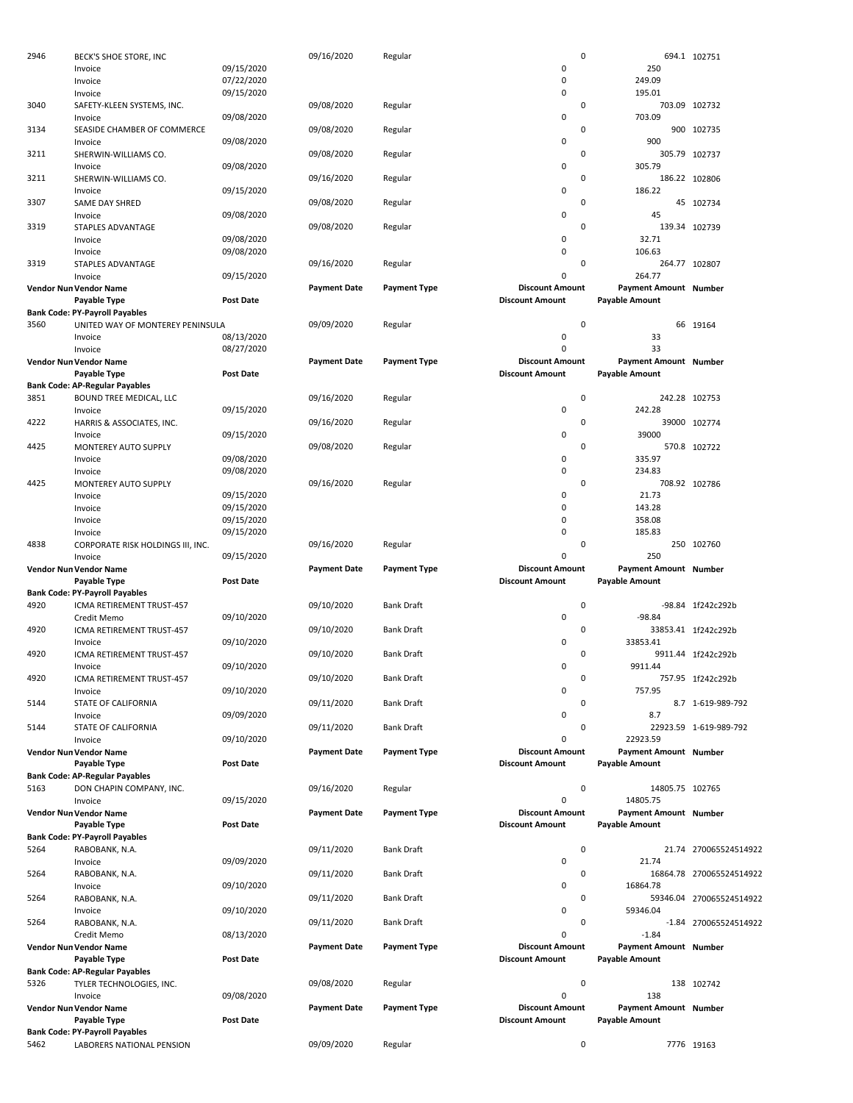| 2946 | BECK'S SHOE STORE, INC                                             |                  | 09/16/2020          | Regular             | 0                                                |                              | 694.1 102751             |
|------|--------------------------------------------------------------------|------------------|---------------------|---------------------|--------------------------------------------------|------------------------------|--------------------------|
|      | Invoice                                                            | 09/15/2020       |                     |                     | 0                                                | 250                          |                          |
|      | Invoice                                                            | 07/22/2020       |                     |                     | 0                                                | 249.09                       |                          |
|      | Invoice                                                            | 09/15/2020       |                     |                     | 0                                                | 195.01                       |                          |
| 3040 | SAFETY-KLEEN SYSTEMS, INC.                                         |                  | 09/08/2020          | Regular             | 0                                                | 703.09 102732                |                          |
|      | Invoice                                                            | 09/08/2020       |                     |                     | 0                                                | 703.09                       |                          |
| 3134 | SEASIDE CHAMBER OF COMMERCE<br>Invoice                             | 09/08/2020       | 09/08/2020          | Regular             | 0<br>0                                           | 900                          | 900 102735               |
| 3211 | SHERWIN-WILLIAMS CO.                                               |                  | 09/08/2020          | Regular             | 0                                                | 305.79 102737                |                          |
|      | Invoice                                                            | 09/08/2020       |                     |                     | 0                                                | 305.79                       |                          |
| 3211 | SHERWIN-WILLIAMS CO.                                               |                  | 09/16/2020          | Regular             | 0                                                | 186.22 102806                |                          |
|      | Invoice                                                            | 09/15/2020       |                     |                     | 0                                                | 186.22                       |                          |
| 3307 | SAME DAY SHRED                                                     |                  | 09/08/2020          | Regular             | 0                                                |                              | 45 102734                |
|      | Invoice                                                            | 09/08/2020       |                     |                     | 0                                                | 45                           |                          |
| 3319 | STAPLES ADVANTAGE                                                  |                  | 09/08/2020          | Regular             | 0                                                | 139.34 102739                |                          |
|      | Invoice                                                            | 09/08/2020       |                     |                     | 0                                                | 32.71                        |                          |
|      | Invoice                                                            | 09/08/2020       |                     |                     | 0                                                | 106.63                       |                          |
| 3319 | STAPLES ADVANTAGE                                                  |                  | 09/16/2020          | Regular             | 0                                                | 264.77 102807                |                          |
|      | Invoice                                                            | 09/15/2020       |                     |                     | $\mathbf 0$                                      | 264.77                       |                          |
|      | Vendor Nun Vendor Name                                             |                  | <b>Payment Date</b> | <b>Payment Type</b> | <b>Discount Amount</b>                           | Payment Amount Number        |                          |
|      | Payable Type                                                       | <b>Post Date</b> |                     |                     | <b>Discount Amount</b>                           | <b>Payable Amount</b>        |                          |
|      | <b>Bank Code: PY-Payroll Payables</b>                              |                  |                     |                     |                                                  |                              |                          |
| 3560 | UNITED WAY OF MONTEREY PENINSULA                                   |                  | 09/09/2020          | Regular             | $\mathbf 0$                                      |                              | 66 19164                 |
|      | Invoice                                                            | 08/13/2020       |                     |                     | 0                                                | 33                           |                          |
|      | Invoice                                                            | 08/27/2020       |                     |                     | 0                                                | 33                           |                          |
|      | Vendor Nun Vendor Name                                             | <b>Post Date</b> | <b>Payment Date</b> | <b>Payment Type</b> | <b>Discount Amount</b><br><b>Discount Amount</b> | <b>Payment Amount Number</b> |                          |
|      | Payable Type<br><b>Bank Code: AP-Regular Payables</b>              |                  |                     |                     |                                                  | <b>Payable Amount</b>        |                          |
| 3851 | BOUND TREE MEDICAL, LLC                                            |                  | 09/16/2020          | Regular             | $\mathbf 0$                                      | 242.28 102753                |                          |
|      | Invoice                                                            | 09/15/2020       |                     |                     | 0                                                | 242.28                       |                          |
| 4222 | HARRIS & ASSOCIATES, INC.                                          |                  | 09/16/2020          | Regular             | 0                                                |                              | 39000 102774             |
|      | Invoice                                                            | 09/15/2020       |                     |                     | 0                                                | 39000                        |                          |
| 4425 | MONTEREY AUTO SUPPLY                                               |                  | 09/08/2020          | Regular             | 0                                                |                              | 570.8 102722             |
|      | Invoice                                                            | 09/08/2020       |                     |                     | 0                                                | 335.97                       |                          |
|      | Invoice                                                            | 09/08/2020       |                     |                     | 0                                                | 234.83                       |                          |
| 4425 | MONTEREY AUTO SUPPLY                                               |                  | 09/16/2020          | Regular             | 0                                                | 708.92 102786                |                          |
|      | Invoice                                                            | 09/15/2020       |                     |                     | 0                                                | 21.73                        |                          |
|      | Invoice                                                            | 09/15/2020       |                     |                     | 0                                                | 143.28                       |                          |
|      | Invoice                                                            | 09/15/2020       |                     |                     | 0                                                | 358.08                       |                          |
|      | Invoice                                                            | 09/15/2020       |                     |                     | 0                                                | 185.83                       |                          |
|      | CORPORATE RISK HOLDINGS III, INC.                                  |                  | 09/16/2020          |                     | 0                                                |                              | 250 102760               |
| 4838 |                                                                    |                  |                     | Regular             |                                                  |                              |                          |
|      | Invoice                                                            | 09/15/2020       |                     |                     | 0                                                | 250                          |                          |
|      | Vendor Nun Vendor Name                                             |                  | <b>Payment Date</b> | <b>Payment Type</b> | <b>Discount Amount</b>                           | Payment Amount Number        |                          |
|      | Payable Type                                                       | <b>Post Date</b> |                     |                     | <b>Discount Amount</b>                           | <b>Payable Amount</b>        |                          |
|      | <b>Bank Code: PY-Payroll Payables</b>                              |                  |                     |                     |                                                  |                              |                          |
| 4920 | ICMA RETIREMENT TRUST-457                                          |                  | 09/10/2020          | <b>Bank Draft</b>   | 0                                                |                              | -98.84 1f242c292b        |
|      | Credit Memo                                                        | 09/10/2020       |                     |                     | 0                                                | $-98.84$                     |                          |
| 4920 | ICMA RETIREMENT TRUST-457                                          |                  | 09/10/2020          | <b>Bank Draft</b>   | 0                                                |                              | 33853.41 1f242c292b      |
|      | Invoice                                                            | 09/10/2020       |                     |                     | 0                                                | 33853.41                     |                          |
| 4920 | ICMA RETIREMENT TRUST-457                                          |                  | 09/10/2020          | <b>Bank Draft</b>   | $\Omega$                                         |                              | 9911.44 1f242c292b       |
|      | Invoice                                                            | 09/10/2020       |                     |                     | 0                                                | 9911.44                      |                          |
| 4920 | ICMA RETIREMENT TRUST-457                                          |                  | 09/10/2020          | <b>Bank Draft</b>   | 0                                                |                              | 757.95 1f242c292b        |
|      | Invoice                                                            | 09/10/2020       |                     | <b>Bank Draft</b>   | 0<br>0                                           | 757.95                       |                          |
| 5144 | STATE OF CALIFORNIA<br>Invoice                                     | 09/09/2020       | 09/11/2020          |                     | 0                                                | 8.7                          | 8.7 1-619-989-792        |
| 5144 | STATE OF CALIFORNIA                                                |                  | 09/11/2020          | <b>Bank Draft</b>   | 0                                                |                              | 22923.59 1-619-989-792   |
|      | Invoice                                                            | 09/10/2020       |                     |                     | 0                                                | 22923.59                     |                          |
|      | Vendor Nun Vendor Name                                             |                  | <b>Payment Date</b> | <b>Payment Type</b> | <b>Discount Amount</b>                           | <b>Payment Amount Number</b> |                          |
|      | Payable Type                                                       | <b>Post Date</b> |                     |                     | <b>Discount Amount</b>                           | <b>Payable Amount</b>        |                          |
|      | <b>Bank Code: AP-Regular Payables</b>                              |                  |                     |                     |                                                  |                              |                          |
| 5163 | DON CHAPIN COMPANY, INC.                                           |                  | 09/16/2020          | Regular             | 0                                                | 14805.75 102765              |                          |
|      | Invoice                                                            | 09/15/2020       |                     |                     | 0                                                | 14805.75                     |                          |
|      | Vendor Nun Vendor Name                                             |                  | <b>Payment Date</b> | <b>Payment Type</b> | <b>Discount Amount</b>                           | Payment Amount Number        |                          |
|      | Payable Type                                                       | <b>Post Date</b> |                     |                     | <b>Discount Amount</b>                           | <b>Payable Amount</b>        |                          |
|      | <b>Bank Code: PY-Payroll Payables</b>                              |                  |                     |                     |                                                  |                              |                          |
| 5264 | RABOBANK, N.A.                                                     |                  | 09/11/2020          | Bank Draft          | 0                                                |                              | 21.74 270065524514922    |
|      | Invoice                                                            | 09/09/2020       |                     |                     | 0                                                | 21.74                        |                          |
| 5264 | RABOBANK, N.A.                                                     |                  | 09/11/2020          | <b>Bank Draft</b>   | 0                                                |                              | 16864.78 270065524514922 |
|      | Invoice                                                            | 09/10/2020       |                     |                     | 0                                                | 16864.78                     |                          |
| 5264 | RABOBANK, N.A.                                                     |                  | 09/11/2020          | <b>Bank Draft</b>   | 0<br>0                                           | 59346.04                     | 59346.04 270065524514922 |
| 5264 | Invoice                                                            | 09/10/2020       |                     | <b>Bank Draft</b>   | 0                                                |                              | -1.84 270065524514922    |
|      | RABOBANK, N.A.<br>Credit Memo                                      | 08/13/2020       | 09/11/2020          |                     | 0                                                | $-1.84$                      |                          |
|      | Vendor Nun Vendor Name                                             |                  | <b>Payment Date</b> | <b>Payment Type</b> | <b>Discount Amount</b>                           | Payment Amount Number        |                          |
|      | Payable Type                                                       | <b>Post Date</b> |                     |                     | <b>Discount Amount</b>                           | <b>Payable Amount</b>        |                          |
|      | <b>Bank Code: AP-Regular Payables</b>                              |                  |                     |                     |                                                  |                              |                          |
|      | TYLER TECHNOLOGIES, INC.                                           |                  | 09/08/2020          | Regular             | 0                                                |                              | 138 102742               |
|      | Invoice                                                            | 09/08/2020       |                     |                     | 0                                                | 138                          |                          |
| 5326 | Vendor Nun Vendor Name                                             |                  | <b>Payment Date</b> | <b>Payment Type</b> | <b>Discount Amount</b>                           | Payment Amount Number        |                          |
|      | Payable Type                                                       | <b>Post Date</b> |                     |                     | <b>Discount Amount</b>                           | Payable Amount               |                          |
| 5462 | <b>Bank Code: PY-Payroll Payables</b><br>LABORERS NATIONAL PENSION |                  | 09/09/2020          | Regular             | 0                                                |                              | 7776 19163               |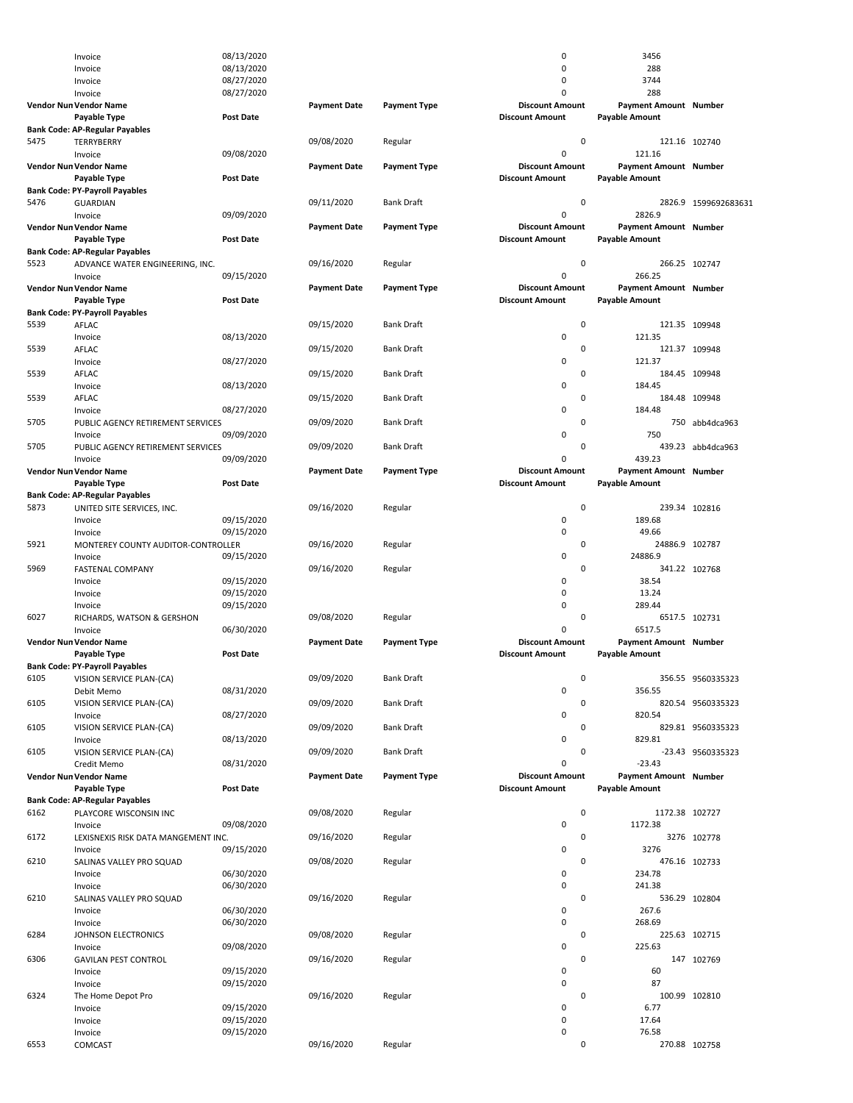|      | Invoice                               | 08/13/2020       |                     |                     | 0                      | 3456                         |                      |
|------|---------------------------------------|------------------|---------------------|---------------------|------------------------|------------------------------|----------------------|
|      | Invoice                               | 08/13/2020       |                     |                     | 0                      | 288                          |                      |
|      |                                       |                  |                     |                     | 0                      |                              |                      |
|      | Invoice                               | 08/27/2020       |                     |                     |                        | 3744                         |                      |
|      | Invoice                               | 08/27/2020       |                     |                     | $\Omega$               | 288                          |                      |
|      | Vendor Nun Vendor Name                |                  | <b>Payment Date</b> | <b>Payment Type</b> | <b>Discount Amount</b> | Payment Amount Number        |                      |
|      | Payable Type                          | <b>Post Date</b> |                     |                     | <b>Discount Amount</b> | <b>Payable Amount</b>        |                      |
|      |                                       |                  |                     |                     |                        |                              |                      |
|      | <b>Bank Code: AP-Regular Payables</b> |                  |                     |                     |                        |                              |                      |
| 5475 | <b>TERRYBERRY</b>                     |                  | 09/08/2020          | Regular             | 0                      |                              | 121.16 102740        |
|      | Invoice                               | 09/08/2020       |                     |                     | 0                      | 121.16                       |                      |
|      | Vendor Nun Vendor Name                |                  | <b>Payment Date</b> | <b>Payment Type</b> | <b>Discount Amount</b> | Payment Amount Number        |                      |
|      | Payable Type                          | <b>Post Date</b> |                     |                     | <b>Discount Amount</b> | <b>Payable Amount</b>        |                      |
|      |                                       |                  |                     |                     |                        |                              |                      |
|      | <b>Bank Code: PY-Payroll Payables</b> |                  |                     |                     |                        |                              |                      |
| 5476 | <b>GUARDIAN</b>                       |                  | 09/11/2020          | <b>Bank Draft</b>   | 0                      |                              | 2826.9 1599692683631 |
|      | Invoice                               | 09/09/2020       |                     |                     | 0                      | 2826.9                       |                      |
|      | Vendor Nun Vendor Name                |                  | <b>Payment Date</b> | Payment Type        | <b>Discount Amount</b> | <b>Payment Amount Number</b> |                      |
|      |                                       |                  |                     |                     |                        |                              |                      |
|      | Payable Type                          | <b>Post Date</b> |                     |                     | <b>Discount Amount</b> | <b>Payable Amount</b>        |                      |
|      | <b>Bank Code: AP-Regular Payables</b> |                  |                     |                     |                        |                              |                      |
| 5523 | ADVANCE WATER ENGINEERING, INC.       |                  | 09/16/2020          | Regular             | $\mathbf 0$            |                              | 266.25 102747        |
|      | Invoice                               | 09/15/2020       |                     |                     | 0                      | 266.25                       |                      |
|      |                                       |                  |                     |                     |                        |                              |                      |
|      | Vendor Nun Vendor Name                |                  | <b>Payment Date</b> | Payment Type        | <b>Discount Amount</b> | Payment Amount Number        |                      |
|      | Payable Type                          | <b>Post Date</b> |                     |                     | <b>Discount Amount</b> | <b>Payable Amount</b>        |                      |
|      | <b>Bank Code: PY-Payroll Payables</b> |                  |                     |                     |                        |                              |                      |
| 5539 | AFLAC                                 |                  | 09/15/2020          | <b>Bank Draft</b>   | 0                      |                              | 121.35 109948        |
|      |                                       |                  |                     |                     |                        |                              |                      |
|      | Invoice                               | 08/13/2020       |                     |                     | 0                      | 121.35                       |                      |
| 5539 | AFLAC                                 |                  | 09/15/2020          | <b>Bank Draft</b>   | 0                      |                              | 121.37 109948        |
|      | Invoice                               | 08/27/2020       |                     |                     | 0                      | 121.37                       |                      |
|      |                                       |                  |                     |                     | 0                      |                              |                      |
| 5539 | AFLAC                                 |                  | 09/15/2020          | <b>Bank Draft</b>   |                        |                              | 184.45 109948        |
|      | Invoice                               | 08/13/2020       |                     |                     | 0                      | 184.45                       |                      |
| 5539 | AFLAC                                 |                  | 09/15/2020          | <b>Bank Draft</b>   | 0                      |                              | 184.48 109948        |
|      | Invoice                               | 08/27/2020       |                     |                     | 0                      | 184.48                       |                      |
|      |                                       |                  |                     |                     |                        |                              |                      |
| 5705 | PUBLIC AGENCY RETIREMENT SERVICES     |                  | 09/09/2020          | <b>Bank Draft</b>   | 0                      |                              | 750 abb4dca963       |
|      | Invoice                               | 09/09/2020       |                     |                     | 0                      | 750                          |                      |
| 5705 | PUBLIC AGENCY RETIREMENT SERVICES     |                  | 09/09/2020          | <b>Bank Draft</b>   | 0                      |                              | 439.23 abb4dca963    |
|      |                                       |                  |                     |                     | 0                      | 439.23                       |                      |
|      | Invoice                               | 09/09/2020       |                     |                     |                        |                              |                      |
|      | Vendor Nun Vendor Name                |                  | <b>Payment Date</b> | <b>Payment Type</b> | <b>Discount Amount</b> | Payment Amount Number        |                      |
|      | Payable Type                          | <b>Post Date</b> |                     |                     | <b>Discount Amount</b> | <b>Payable Amount</b>        |                      |
|      | <b>Bank Code: AP-Regular Payables</b> |                  |                     |                     |                        |                              |                      |
|      |                                       |                  |                     |                     |                        |                              |                      |
| 5873 | UNITED SITE SERVICES, INC.            |                  | 09/16/2020          | Regular             | 0                      |                              | 239.34 102816        |
|      | Invoice                               | 09/15/2020       |                     |                     | 0                      | 189.68                       |                      |
|      | Invoice                               | 09/15/2020       |                     |                     | 0                      | 49.66                        |                      |
|      |                                       |                  |                     |                     |                        |                              |                      |
| 5921 | MONTEREY COUNTY AUDITOR-CONTROLLER    |                  | 09/16/2020          | Regular             | 0                      | 24886.9 102787               |                      |
|      | Invoice                               | 09/15/2020       |                     |                     | 0                      | 24886.9                      |                      |
|      |                                       |                  |                     |                     |                        |                              |                      |
|      |                                       |                  |                     |                     |                        |                              |                      |
| 5969 | <b>FASTENAL COMPANY</b>               |                  | 09/16/2020          | Regular             | 0                      | 341.22 102768                |                      |
|      | Invoice                               | 09/15/2020       |                     |                     | 0                      | 38.54                        |                      |
|      | Invoice                               | 09/15/2020       |                     |                     | 0                      | 13.24                        |                      |
|      |                                       |                  |                     |                     |                        |                              |                      |
|      | Invoice                               | 09/15/2020       |                     |                     | 0                      | 289.44                       |                      |
| 6027 | RICHARDS, WATSON & GERSHON            |                  | 09/08/2020          | Regular             | 0                      |                              | 6517.5 102731        |
|      | Invoice                               | 06/30/2020       |                     |                     | 0                      | 6517.5                       |                      |
|      |                                       |                  |                     |                     | <b>Discount Amount</b> |                              |                      |
|      | Vendor Nun Vendor Name                |                  | <b>Payment Date</b> | <b>Payment Type</b> |                        | Payment Amount Number        |                      |
|      | Payable Type                          | <b>Post Date</b> |                     |                     | <b>Discount Amount</b> | <b>Pavable Amount</b>        |                      |
|      | <b>Bank Code: PY-Payroll Payables</b> |                  |                     |                     |                        |                              |                      |
| 6105 |                                       |                  |                     | Bank Draft          | 0                      |                              |                      |
|      | VISION SERVICE PLAN-(CA)              |                  | 09/09/2020          |                     |                        |                              | 356.55 9560335323    |
|      | Debit Memo                            | 08/31/2020       |                     |                     | 0                      | 356.55                       |                      |
| 6105 | VISION SERVICE PLAN-(CA)              |                  | 09/09/2020          | <b>Bank Draft</b>   | 0                      |                              | 820.54 9560335323    |
|      | Invoice                               | 08/27/2020       |                     |                     | 0                      | 820.54                       |                      |
| 6105 |                                       |                  | 09/09/2020          | <b>Bank Draft</b>   | 0                      |                              |                      |
|      | VISION SERVICE PLAN-(CA)              |                  |                     |                     |                        |                              | 829.81 9560335323    |
|      | Invoice                               | 08/13/2020       |                     |                     | 0                      | 829.81                       |                      |
| 6105 | VISION SERVICE PLAN-(CA)              |                  | 09/09/2020          | <b>Bank Draft</b>   | 0                      |                              | -23.43 9560335323    |
|      | Credit Memo                           | 08/31/2020       |                     |                     | 0                      | $-23.43$                     |                      |
|      |                                       |                  |                     |                     |                        |                              |                      |
|      | Vendor Nun Vendor Name                |                  | <b>Payment Date</b> | Payment Type        | <b>Discount Amount</b> | Payment Amount Number        |                      |
|      | Payable Type                          | <b>Post Date</b> |                     |                     | <b>Discount Amount</b> | <b>Payable Amount</b>        |                      |
|      | <b>Bank Code: AP-Regular Payables</b> |                  |                     |                     |                        |                              |                      |
| 6162 | PLAYCORE WISCONSIN INC                |                  | 09/08/2020          | Regular             | 0                      | 1172.38 102727               |                      |
|      |                                       |                  |                     |                     |                        |                              |                      |
|      | Invoice                               | 09/08/2020       |                     |                     | 0                      | 1172.38                      |                      |
| 6172 | LEXISNEXIS RISK DATA MANGEMENT INC.   |                  | 09/16/2020          | Regular             | 0                      |                              | 3276 102778          |
|      | Invoice                               | 09/15/2020       |                     |                     | 0                      | 3276                         |                      |
|      |                                       |                  |                     |                     |                        |                              |                      |
| 6210 | SALINAS VALLEY PRO SQUAD              |                  | 09/08/2020          | Regular             | 0                      |                              | 476.16 102733        |
|      | Invoice                               | 06/30/2020       |                     |                     | 0                      | 234.78                       |                      |
|      | Invoice                               | 06/30/2020       |                     |                     | 0                      | 241.38                       |                      |
| 6210 | SALINAS VALLEY PRO SQUAD              |                  | 09/16/2020          | Regular             | 0                      |                              | 536.29 102804        |
|      |                                       |                  |                     |                     |                        |                              |                      |
|      | Invoice                               | 06/30/2020       |                     |                     | 0                      | 267.6                        |                      |
|      | Invoice                               | 06/30/2020       |                     |                     | 0                      | 268.69                       |                      |
| 6284 | JOHNSON ELECTRONICS                   |                  | 09/08/2020          | Regular             | 0                      |                              | 225.63 102715        |
|      |                                       |                  |                     |                     |                        |                              |                      |
|      | Invoice                               | 09/08/2020       |                     |                     | 0                      | 225.63                       |                      |
| 6306 | <b>GAVILAN PEST CONTROL</b>           |                  | 09/16/2020          | Regular             | 0                      |                              | 147 102769           |
|      | Invoice                               | 09/15/2020       |                     |                     | 0                      | 60                           |                      |
|      | Invoice                               | 09/15/2020       |                     |                     | 0                      | 87                           |                      |
|      |                                       |                  |                     |                     |                        |                              |                      |
| 6324 | The Home Depot Pro                    |                  | 09/16/2020          | Regular             | 0                      |                              | 100.99 102810        |
|      | Invoice                               | 09/15/2020       |                     |                     | 0                      | 6.77                         |                      |
|      | Invoice                               | 09/15/2020       |                     |                     | 0                      | 17.64                        |                      |
|      |                                       |                  |                     |                     |                        |                              |                      |
| 6553 | Invoice<br>COMCAST                    | 09/15/2020       | 09/16/2020          | Regular             | 0<br>$\pmb{0}$         | 76.58                        | 270.88 102758        |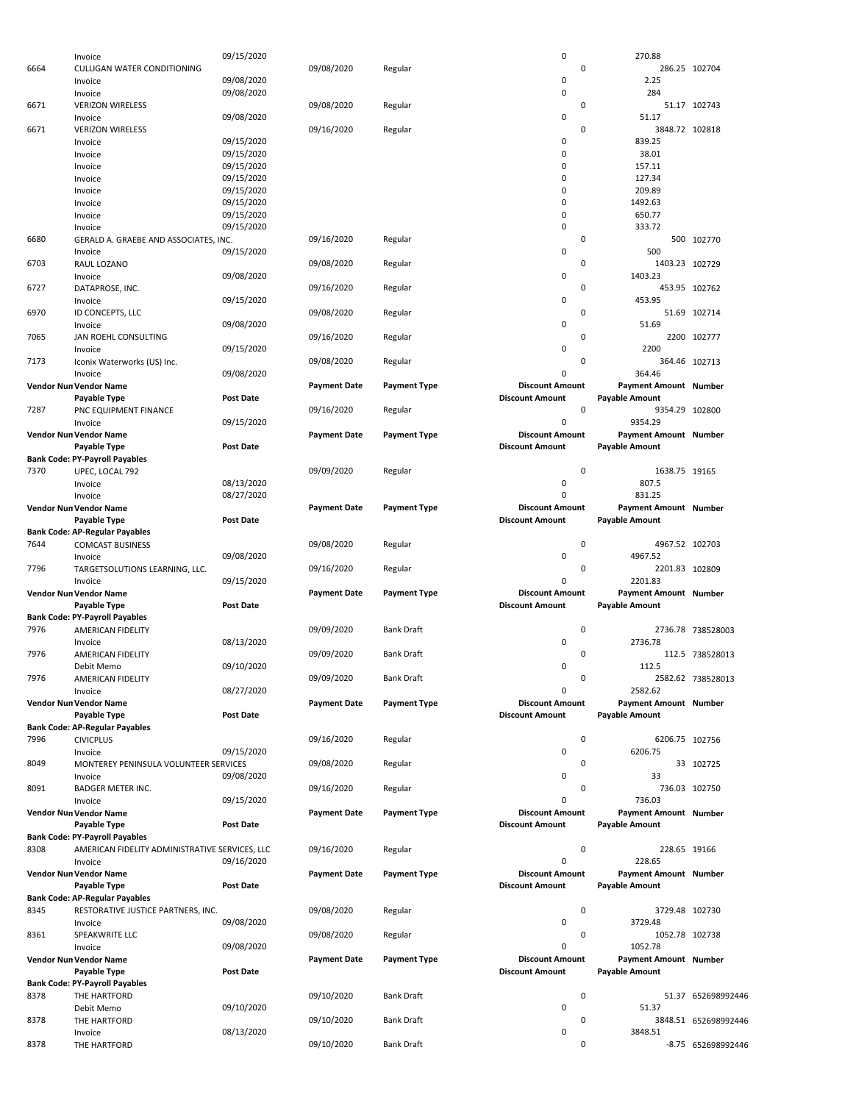|      | Invoice                                        | 09/15/2020       |                     |                     | $\pmb{0}$              | 270.88                       |                      |
|------|------------------------------------------------|------------------|---------------------|---------------------|------------------------|------------------------------|----------------------|
| 6664 | <b>CULLIGAN WATER CONDITIONING</b>             |                  | 09/08/2020          | Regular             | $\mathbf 0$            |                              | 286.25 102704        |
|      |                                                |                  |                     |                     |                        |                              |                      |
|      | Invoice                                        | 09/08/2020       |                     |                     | $\mathbf 0$            | 2.25                         |                      |
|      | Invoice                                        | 09/08/2020       |                     |                     | 0                      | 284                          |                      |
| 6671 | <b>VERIZON WIRELESS</b>                        |                  | 09/08/2020          | Regular             | 0                      |                              | 51.17 102743         |
|      | Invoice                                        | 09/08/2020       |                     |                     | 0                      | 51.17                        |                      |
|      |                                                |                  |                     |                     |                        |                              |                      |
| 6671 | <b>VERIZON WIRELESS</b>                        |                  | 09/16/2020          | Regular             | 0                      | 3848.72 102818               |                      |
|      | Invoice                                        | 09/15/2020       |                     |                     | 0                      | 839.25                       |                      |
|      | Invoice                                        | 09/15/2020       |                     |                     | 0                      | 38.01                        |                      |
|      | Invoice                                        | 09/15/2020       |                     |                     | 0                      | 157.11                       |                      |
|      |                                                |                  |                     |                     |                        |                              |                      |
|      | Invoice                                        | 09/15/2020       |                     |                     | 0                      | 127.34                       |                      |
|      | Invoice                                        | 09/15/2020       |                     |                     | 0                      | 209.89                       |                      |
|      | Invoice                                        | 09/15/2020       |                     |                     | 0                      | 1492.63                      |                      |
|      |                                                |                  |                     |                     |                        |                              |                      |
|      | Invoice                                        | 09/15/2020       |                     |                     | 0                      | 650.77                       |                      |
|      | Invoice                                        | 09/15/2020       |                     |                     | $\mathbf 0$            | 333.72                       |                      |
| 6680 | GERALD A. GRAEBE AND ASSOCIATES. INC.          |                  | 09/16/2020          | Regular             | $\mathbf 0$            |                              | 500 102770           |
|      |                                                |                  |                     |                     |                        |                              |                      |
|      | Invoice                                        | 09/15/2020       |                     |                     | $\mathbf 0$            | 500                          |                      |
| 6703 | RAUL LOZANO                                    |                  | 09/08/2020          | Regular             | 0                      | 1403.23 102729               |                      |
|      | Invoice                                        | 09/08/2020       |                     |                     | 0                      | 1403.23                      |                      |
|      |                                                |                  |                     |                     | $\mathbf 0$            |                              |                      |
| 6727 | DATAPROSE, INC.                                |                  | 09/16/2020          | Regular             |                        |                              | 453.95 102762        |
|      | Invoice                                        | 09/15/2020       |                     |                     | 0                      | 453.95                       |                      |
| 6970 | ID CONCEPTS, LLC                               |                  | 09/08/2020          | Regular             | $\mathbf 0$            |                              | 51.69 102714         |
|      |                                                |                  |                     |                     | $\mathbf 0$            |                              |                      |
|      | Invoice                                        | 09/08/2020       |                     |                     |                        | 51.69                        |                      |
| 7065 | JAN ROEHL CONSULTING                           |                  | 09/16/2020          | Regular             | 0                      |                              | 2200 102777          |
|      | Invoice                                        | 09/15/2020       |                     |                     | $\mathbf 0$            | 2200                         |                      |
| 7173 |                                                |                  | 09/08/2020          |                     | 0                      |                              |                      |
|      | Iconix Waterworks (US) Inc.                    |                  |                     | Regular             |                        |                              | 364.46 102713        |
|      | Invoice                                        | 09/08/2020       |                     |                     | $\mathbf 0$            | 364.46                       |                      |
|      | <b>Vendor Nun Vendor Name</b>                  |                  | <b>Payment Date</b> | <b>Payment Type</b> | <b>Discount Amount</b> | Payment Amount Number        |                      |
|      |                                                |                  |                     |                     |                        |                              |                      |
|      | Payable Type                                   | <b>Post Date</b> |                     |                     | <b>Discount Amount</b> | <b>Payable Amount</b>        |                      |
| 7287 | PNC EQUIPMENT FINANCE                          |                  | 09/16/2020          | Regular             | $\mathbf 0$            | 9354.29 102800               |                      |
|      | Invoice                                        | 09/15/2020       |                     |                     | 0                      | 9354.29                      |                      |
|      |                                                |                  |                     |                     | <b>Discount Amount</b> |                              |                      |
|      | Vendor Nun Vendor Name                         |                  | <b>Payment Date</b> | <b>Payment Type</b> |                        | Payment Amount Number        |                      |
|      | Payable Type                                   | <b>Post Date</b> |                     |                     | <b>Discount Amount</b> | <b>Payable Amount</b>        |                      |
|      | <b>Bank Code: PY-Payroll Payables</b>          |                  |                     |                     |                        |                              |                      |
| 7370 |                                                |                  |                     |                     | $\mathbf 0$            | 1638.75 19165                |                      |
|      | UPEC, LOCAL 792                                |                  | 09/09/2020          | Regular             |                        |                              |                      |
|      | Invoice                                        | 08/13/2020       |                     |                     | 0                      | 807.5                        |                      |
|      | Invoice                                        | 08/27/2020       |                     |                     | $\Omega$               | 831.25                       |                      |
|      |                                                |                  | <b>Payment Date</b> | <b>Payment Type</b> | <b>Discount Amount</b> | Payment Amount Number        |                      |
|      | Vendor Nun Vendor Name                         |                  |                     |                     |                        |                              |                      |
|      | Payable Type                                   | <b>Post Date</b> |                     |                     | <b>Discount Amount</b> | <b>Payable Amount</b>        |                      |
|      | <b>Bank Code: AP-Regular Payables</b>          |                  |                     |                     |                        |                              |                      |
| 7644 |                                                |                  |                     |                     | $\mathbf 0$            | 4967.52 102703               |                      |
|      | <b>COMCAST BUSINESS</b>                        |                  | 09/08/2020          | Regular             |                        |                              |                      |
|      |                                                |                  |                     |                     |                        |                              |                      |
|      | Invoice                                        | 09/08/2020       |                     |                     | $\mathbf 0$            | 4967.52                      |                      |
|      |                                                |                  |                     |                     |                        |                              |                      |
| 7796 | TARGETSOLUTIONS LEARNING, LLC.                 |                  | 09/16/2020          | Regular             | 0                      | 2201.83 102809               |                      |
|      | Invoice                                        | 09/15/2020       |                     |                     | 0                      | 2201.83                      |                      |
|      |                                                |                  | <b>Payment Date</b> |                     | <b>Discount Amount</b> | <b>Payment Amount Number</b> |                      |
|      | Vendor Nun Vendor Name                         |                  |                     | <b>Payment Type</b> |                        |                              |                      |
|      | Payable Type                                   | <b>Post Date</b> |                     |                     | <b>Discount Amount</b> | <b>Payable Amount</b>        |                      |
|      | <b>Bank Code: PY-Payroll Payables</b>          |                  |                     |                     |                        |                              |                      |
| 7976 | AMERICAN FIDELITY                              |                  |                     | <b>Bank Draft</b>   | $\mathbf 0$            |                              | 2736.78 738528003    |
|      |                                                |                  | 09/09/2020          |                     |                        |                              |                      |
|      | Invoice                                        | 08/13/2020       |                     |                     | 0                      | 2736.78                      |                      |
| 7976 | AMERICAN FIDELITY                              |                  | 09/09/2020          | <b>Bank Draft</b>   | 0                      |                              | 112.5 738528013      |
|      |                                                |                  |                     |                     |                        |                              |                      |
|      | Debit Memo                                     | 09/10/2020       |                     |                     | 0                      | 112.5                        |                      |
| 7976 | AMERICAN FIDELITY                              |                  | 09/09/2020          | Bank Draft          | 0                      |                              | 2582.62 738528013    |
|      | Invoice                                        | 08/27/2020       |                     |                     | $\mathbf 0$            | 2582.62                      |                      |
|      |                                                |                  |                     |                     | <b>Discount Amount</b> |                              |                      |
|      | Vendor Nun Vendor Name                         |                  | <b>Payment Date</b> | <b>Payment Type</b> |                        | Payment Amount Number        |                      |
|      | Payable Type                                   | <b>Post Date</b> |                     |                     | <b>Discount Amount</b> | <b>Payable Amount</b>        |                      |
|      | <b>Bank Code: AP-Regular Payables</b>          |                  |                     |                     |                        |                              |                      |
| 7996 | <b>CIVICPLUS</b>                               |                  | 09/16/2020          | Regular             | $\mathbf 0$            | 6206.75 102756               |                      |
|      |                                                |                  |                     |                     |                        |                              |                      |
|      | Invoice                                        | 09/15/2020       |                     |                     | $\mathbf 0$            | 6206.75                      |                      |
| 8049 | MONTEREY PENINSULA VOLUNTEER SERVICES          |                  | 09/08/2020          | Regular             | $\mathbf 0$            |                              | 33 102725            |
|      | Invoice                                        | 09/08/2020       |                     |                     | $\mathbf 0$            | 33                           |                      |
|      |                                                |                  |                     |                     |                        |                              |                      |
| 8091 | <b>BADGER METER INC.</b>                       |                  | 09/16/2020          | Regular             | $\mathbf 0$            |                              | 736.03 102750        |
|      | Invoice                                        | 09/15/2020       |                     |                     | $\mathbf 0$            | 736.03                       |                      |
|      | Vendor Nun Vendor Name                         |                  | <b>Payment Date</b> | <b>Payment Type</b> | <b>Discount Amount</b> | Payment Amount Number        |                      |
|      |                                                |                  |                     |                     |                        |                              |                      |
|      | Payable Type                                   | Post Date        |                     |                     | <b>Discount Amount</b> | <b>Payable Amount</b>        |                      |
|      | <b>Bank Code: PY-Payroll Payables</b>          |                  |                     |                     |                        |                              |                      |
| 8308 | AMERICAN FIDELITY ADMINISTRATIVE SERVICES, LLC |                  | 09/16/2020          | Regular             | $\mathbf 0$            | 228.65 19166                 |                      |
|      |                                                |                  |                     |                     |                        |                              |                      |
|      | Invoice                                        | 09/16/2020       |                     |                     | 0                      | 228.65                       |                      |
|      | Vendor Nun Vendor Name                         |                  | <b>Payment Date</b> | <b>Payment Type</b> | <b>Discount Amount</b> | Payment Amount Number        |                      |
|      | Payable Type                                   | <b>Post Date</b> |                     |                     | <b>Discount Amount</b> | <b>Payable Amount</b>        |                      |
|      |                                                |                  |                     |                     |                        |                              |                      |
|      | <b>Bank Code: AP-Regular Payables</b>          |                  |                     |                     |                        |                              |                      |
| 8345 | RESTORATIVE JUSTICE PARTNERS, INC.             |                  | 09/08/2020          | Regular             | $\mathbf 0$            | 3729.48 102730               |                      |
|      | Invoice                                        | 09/08/2020       |                     |                     | $\pmb{0}$              | 3729.48                      |                      |
|      |                                                |                  |                     |                     |                        |                              |                      |
| 8361 | SPEAKWRITE LLC                                 |                  | 09/08/2020          | Regular             | 0                      | 1052.78 102738               |                      |
|      | Invoice                                        | 09/08/2020       |                     |                     | 0                      | 1052.78                      |                      |
|      | Vendor Nun Vendor Name                         |                  | <b>Payment Date</b> | <b>Payment Type</b> | <b>Discount Amount</b> | Payment Amount Number        |                      |
|      |                                                |                  |                     |                     |                        |                              |                      |
|      | Payable Type                                   | <b>Post Date</b> |                     |                     | <b>Discount Amount</b> | <b>Payable Amount</b>        |                      |
|      | <b>Bank Code: PY-Payroll Payables</b>          |                  |                     |                     |                        |                              |                      |
| 8378 | THE HARTFORD                                   |                  | 09/10/2020          | <b>Bank Draft</b>   | $\mathbf 0$            |                              | 51.37 652698992446   |
|      |                                                |                  |                     |                     |                        |                              |                      |
|      | Debit Memo                                     | 09/10/2020       |                     |                     | $\mathbf 0$            | 51.37                        |                      |
| 8378 | THE HARTFORD                                   |                  | 09/10/2020          | <b>Bank Draft</b>   | $\mathbf 0$            |                              | 3848.51 652698992446 |
| 8378 | Invoice<br>THE HARTFORD                        | 08/13/2020       | 09/10/2020          | <b>Bank Draft</b>   | 0<br>$\mathbf 0$       | 3848.51                      | -8.75 652698992446   |